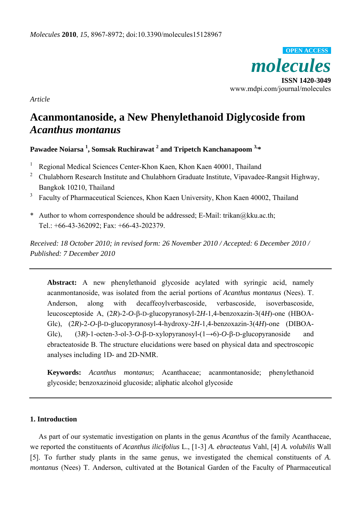

*Article* 

# **Acanmontanoside, a New Phenylethanoid Diglycoside from**  *Acanthus montanus*

# **Pawadee Noiarsa <sup>1</sup> , Somsak Ruchirawat 2 and Tripetch Kanchanapoom 3,\***

- <sup>1</sup> Regional Medical Sciences Center-Khon Kaen, Khon Kaen 40001, Thailand
- <sup>2</sup> Chulabhorn Research Institute and Chulabhorn Graduate Institute, Vipavadee-Rangsit Highway, Bangkok 10210, Thailand
- 3 Faculty of Pharmaceutical Sciences, Khon Kaen University, Khon Kaen 40002, Thailand
- \* Author to whom correspondence should be addressed; E-Mail: trikan@kku.ac.th; Tel.: +66-43-362092; Fax: +66-43-202379.

*Received: 18 October 2010; in revised form: 26 November 2010 / Accepted: 6 December 2010 / Published: 7 December 2010* 

**Abstract:** A new phenylethanoid glycoside acylated with syringic acid, namely acanmontanoside, was isolated from the aerial portions of *Acanthus montanus* (Nees). T. Anderson, along with decaffeoylverbascoside, verbascoside, isoverbascoside, leucosceptoside A, (2*R*)-2-*O*-β-D-glucopyranosyl-2*H*-1,4-benzoxazin-3(4*H*)-one (HBOA-Glc), (2*R*)-2-*O*-β-D-glucopyranosyl-4-hydroxy-2*H*-1,4-benzoxazin-3(4*H*)-one (DIBOA-Glc), (3*R*)-1-octen-3-ol-3-*O*-β-D-xylopyranosyl-(1→6)-*O*-β-D-glucopyranoside and ebracteatoside B. The structure elucidations were based on physical data and spectroscopic analyses including 1D- and 2D-NMR.

**Keywords:** *Acanthus montanus*; Acanthaceae; acanmontanoside; phenylethanoid glycoside; benzoxazinoid glucoside; aliphatic alcohol glycoside

#### **1. Introduction**

As part of our systematic investigation on plants in the genus *Acanthus* of the family Acanthaceae, we reported the constituents of *Acanthus ilicifolius* L., [1-3] *A. ebracteatus* Vahl, [4] *A. volubilis* Wall [5]. To further study plants in the same genus, we investigated the chemical constituents of *A. montanus* (Nees) T. Anderson, cultivated at the Botanical Garden of the Faculty of Pharmaceutical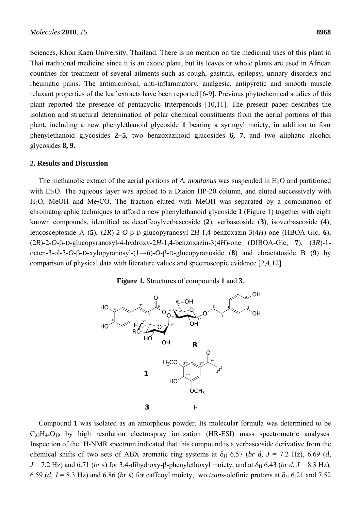Sciences, Khon Kaen University, Thailand. There is no mention on the medicinal uses of this plant in Thai traditional medicine since it is an exotic plant, but its leaves or whole plants are used in African countries for treatment of several ailments such as cough, gastritis, epilepsy, urinary disorders and rheumatic pains. The antimicrobial, anti-inflammatory, analgesic, antipyretic and smooth muscle relaxant properties of the leaf extracts have been reported [6-9]. Previous phytochemical studies of this plant reported the presence of pentacyclic triterpenoids [10,11]. The present paper describes the isolation and structural determination of polar chemical constituents from the aerial portions of this plant, including a new phenylethanoid glycoside **1** bearing a syringyl moiety, in addition to four phenylethanoid glycosides **2**−**5**, two benzoxazinoid glucosides **6, 7**, and two aliphatic alcohol glycosides **8, 9**.

#### **2. Results and Discussion**

The methanolic extract of the aerial portions of *A. montanus* was suspended in  $H_2O$  and partitioned with  $Et<sub>2</sub>O$ . The aqueous layer was applied to a Diaion HP-20 column, and eluted successively with  $H<sub>2</sub>O$ , MeOH and Me<sub>2</sub>CO. The fraction eluted with MeOH was separated by a combination of chromatographic techniques to afford a new phenylethanoid glycoside **1** (Figure 1) together with eight known compounds, identified as decaffeoylverbascoside (**2**), verbascoside (**3**), isoverbascoside (**4**), leucosceptoside A (**5**), (2*R*)-2-*O*-β-D-glucopyranosyl-2*H*-1,4-benzoxazin-3(4*H*)-one (HBOA-Glc, **6**), (2*R*)-2-*O*-β-D-glucopyranosyl-4-hydroxy-2*H*-1,4-benzoxazin-3(4*H*)-one (DIBOA-Glc, **7**), (3*R*)-1 octen-3-ol-3-*O*-β-D-xylopyranosyl-(1→6)-*O*-β-D-glucopyranoside (**8**) and ebractatoside B (**9**) by comparison of physical data with literature values and spectroscopic evidence [2,4,12].

#### **Figure 1.** Structures of compounds **1** and **3**.



Compound **1** was isolated as an amorphous powder. Its molecular formula was determined to be  $C_{38}H_{44}O_{19}$  by high resolution electrospray ionization (HR-ESI) mass spectrometric analyses. Inspection of the  ${}^{1}$ H-NMR spectrum indicated that this compound is a verbascoside derivative from the chemical shifts of two sets of ABX aromatic ring systems at  $\delta_H$  6.57 (*br d, J* = 7.2 Hz), 6.69 (*d,*  $J = 7.2$  Hz) and 6.71 (*br s*) for 3,4-dihydroxy-β-phenylethoxyl moiety, and at  $\delta_H$  6.43 (*br d*, *J* = 8.3 Hz), 6.59 (*d*,  $J = 8.3$  Hz) and 6.86 (*br s*) for caffeoyl moiety, two *trans*-olefinic protons at  $\delta_H$  6.21 and 7.52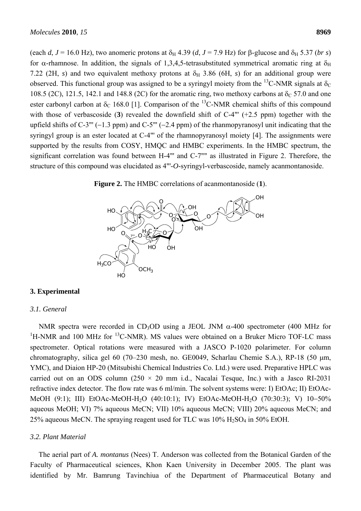(each *d*,  $J = 16.0$  Hz), two anomeric protons at  $\delta_H$  4.39 (*d*,  $J = 7.9$  Hz) for β-glucose and  $\delta_H$  5.37 (*br s*) for  $\alpha$ -rhamnose. In addition, the signals of 1,3,4,5-tetrasubstituted symmetrical aromatic ring at  $\delta_H$ 7.22 (2H, *s*) and two equivalent methoxy protons at  $\delta_H$  3.86 (6H, *s*) for an additional group were observed. This functional group was assigned to be a syringyl moiety from the <sup>13</sup>C-NMR signals at  $\delta_c$ 108.5 (2C), 121.5, 142.1 and 148.8 (2C) for the aromatic ring, two methoxy carbons at  $\delta$ <sub>C</sub> 57.0 and one ester carbonyl carbon at  $\delta_c$  168.0 [1]. Comparison of the <sup>13</sup>C-NMR chemical shifts of this compound with those of verbascoside (**3**) revealed the downfield shift of C-4"' (+2.5 ppm) together with the upfield shifts of C-3"' (−1.3 ppm) and C-5"' (−2.4 ppm) of the rhanmopyranosyl unit indicating that the syringyl group is an ester located at C-4"' of the rhamnopyranosyl moiety [4]. The assignments were supported by the results from COSY, HMQC and HMBC experiments. In the HMBC spectrum, the significant correlation was found between H-4"' and C-7"" as illustrated in Figure 2. Therefore, the structure of this compound was elucidated as 4"'-*O*-syringyl-verbascoside, namely acanmontanoside.





## **3. Experimental**

#### *3.1. General*

NMR spectra were recorded in CD<sub>3</sub>OD using a JEOL JNM  $\alpha$ -400 spectrometer (400 MHz for  ${}^{1}$ H-NMR and 100 MHz for  ${}^{13}$ C-NMR). MS values were obtained on a Bruker Micro TOF-LC mass spectrometer. Optical rotations were measured with a JASCO P-1020 polarimeter. For column chromatography, silica gel 60 (70–230 mesh, no. GE0049, Scharlau Chemie S.A.), RP-18 (50 μm, YMC), and Diaion HP-20 (Mitsubishi Chemical Industries Co. Ltd.) were used. Preparative HPLC was carried out on an ODS column (250  $\times$  20 mm i.d., Nacalai Tesque, Inc.) with a Jasco RI-2031 refractive index detector. The flow rate was 6 ml/min. The solvent systems were: I) EtOAc; II) EtOAc-MeOH (9:1); III) EtOAc-MeOH-H2O (40:10:1); IV) EtOAc-MeOH-H2O (70:30:3); V) 10−50% aqueous MeOH; VI) 7% aqueous MeCN; VII) 10% aqueous MeCN; VIII) 20% aqueous MeCN; and 25% aqueous MeCN. The spraying reagent used for TLC was  $10\%$  H<sub>2</sub>SO<sub>4</sub> in 50% EtOH.

#### *3.2. Plant Material*

The aerial part of *A. montanus* (Nees) T. Anderson was collected from the Botanical Garden of the Faculty of Pharmaceutical sciences, Khon Kaen University in December 2005. The plant was identified by Mr. Bamrung Tavinchiua of the Department of Pharmaceutical Botany and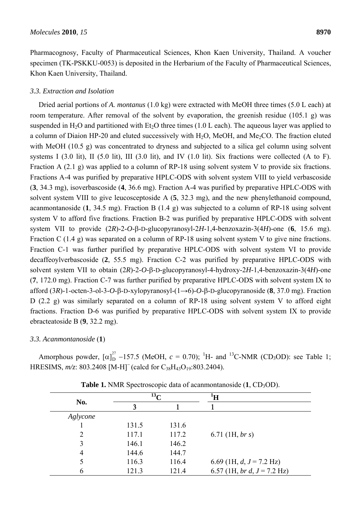Pharmacognosy, Faculty of Pharmaceutical Sciences, Khon Kaen University, Thailand. A voucher specimen (TK-PSKKU-0053) is deposited in the Herbarium of the Faculty of Pharmaceutical Sciences, Khon Kaen University, Thailand.

#### *3.3. Extraction and Isolation*

Dried aerial portions of *A. montanus* (1.0 kg) were extracted with MeOH three times (5.0 L each) at room temperature. After removal of the solvent by evaporation, the greenish residue (105.1 g) was suspended in  $H_2O$  and partitioned with Et<sub>2</sub>O three times (1.0 L each). The aqueous layer was applied to a column of Diaion HP-20 and eluted successively with  $H_2O$ , MeOH, and Me<sub>2</sub>CO. The fraction eluted with MeOH (10.5 g) was concentrated to dryness and subjected to a silica gel column using solvent systems I (3.0 lit), II (5.0 lit), III (3.0 lit), and IV (1.0 lit). Six fractions were collected (A to F). Fraction A (2.1 g) was applied to a column of RP-18 using solvent system V to provide six fractions. Fractions A-4 was purified by preparative HPLC-ODS with solvent system VIII to yield verbascoside (**3**, 34.3 mg), isoverbascoside (**4**, 36.6 mg). Fraction A-4 was purified by preparative HPLC-ODS with solvent system VIII to give leucosceptoside A (**5**, 32.3 mg), and the new phenylethanoid compound, acanmontanoside (**1**, 34.5 mg). Fraction B (1.4 g) was subjected to a column of RP-18 using solvent system V to afford five fractions. Fraction B-2 was purified by preparative HPLC-ODS with solvent system VII to provide (2*R*)-2-*O*-β-D-glucopyranosyl-2*H*-1,4-benzoxazin-3(4*H*)-one (**6**, 15.6 mg). Fraction C (1.4 g) was separated on a column of RP-18 using solvent system V to give nine fractions. Fraction C-1 was further purified by preparative HPLC-ODS with solvent system VI to provide decaffeoylverbascoside (**2**, 55.5 mg). Fraction C-2 was purified by preparative HPLC-ODS with solvent system VII to obtain (2*R*)-2-*O*-β-D-glucopyranosyl-4-hydroxy-2*H*-1,4-benzoxazin-3(4*H*)-one (**7**, 172.0 mg). Fraction C-7 was further purified by preparative HPLC-ODS with solvent system IX to afford (3*R*)-1-octen-3-ol-3-*O*-β-D-xylopyranosyl-(1→6)-*O*-β-D-glucopyranoside (**8**, 37.0 mg). Fraction D (2.2 g) was similarly separated on a column of RP-18 using solvent system V to afford eight fractions. Fraction D-6 was purified by preparative HPLC-ODS with solvent system IX to provide ebracteatoside B (**9**, 32.2 mg).

#### *3.3. Acanmontanoside* (**1**)

Amorphous powder,  $[\alpha]_D^{27}$  –157.5 (MeOH,  $c = 0.70$ ); <sup>1</sup>H- and <sup>13</sup>C-NMR (CD<sub>3</sub>OD): see Table 1; HRESIMS, *m*/z: 803.2408 [M-H]<sup>-</sup> (calcd for C<sub>38</sub>H<sub>43</sub>O<sub>19</sub>:803.2404).

| No.            | $^{13}$ C |       | ŀΗ                            |
|----------------|-----------|-------|-------------------------------|
|                | 3         |       |                               |
| Aglycone       |           |       |                               |
|                | 131.5     | 131.6 |                               |
| 2              | 117.1     | 117.2 | 6.71 (1H, br s)               |
| 3              | 146.1     | 146.2 |                               |
| $\overline{4}$ | 144.6     | 144.7 |                               |
|                | 116.3     | 116.4 | 6.69 (1H, $d, J = 7.2$ Hz)    |
| 6              | 121.3     | 121.4 | 6.57 (1H, br d, $J = 7.2$ Hz) |

**Table 1.** NMR Spectroscopic data of acanmontanoside  $(1, CD_3OD)$ .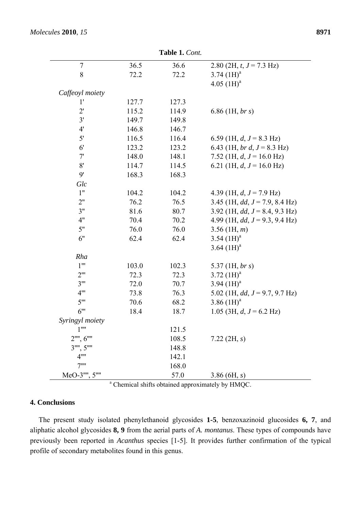|                                   |       | <b>1 avit 1.</b> Colli. |                                                              |
|-----------------------------------|-------|-------------------------|--------------------------------------------------------------|
| 7                                 | 36.5  | 36.6                    | 2.80 (2H, $t, J = 7.3$ Hz)                                   |
| 8                                 | 72.2  | 72.2                    | 3.74 $(1H)^a$                                                |
|                                   |       |                         | 4.05 $(1H)^a$                                                |
| Caffeoyl moiety                   |       |                         |                                                              |
| 1'                                | 127.7 | 127.3                   |                                                              |
| 2'                                | 115.2 | 114.9                   | $6.86$ (1H, br s)                                            |
| 3'                                | 149.7 | 149.8                   |                                                              |
| 4'                                | 146.8 | 146.7                   |                                                              |
| 5'                                | 116.5 | 116.4                   | 6.59 (1H, $d, J = 8.3$ Hz)                                   |
| 6 <sup>′</sup>                    | 123.2 | 123.2                   | 6.43 (1H, br d, $J = 8.3$ Hz)                                |
| 7'                                | 148.0 | 148.1                   | 7.52 (1H, $d, J = 16.0$ Hz)                                  |
| 8'                                | 114.7 | 114.5                   | 6.21 (1H, $d, J = 16.0$ Hz)                                  |
| 9'                                | 168.3 | 168.3                   |                                                              |
| Glc                               |       |                         |                                                              |
| 1"                                | 104.2 | 104.2                   | 4.39 (1H, $d, J = 7.9$ Hz)                                   |
| 2"                                | 76.2  | 76.5                    | 3.45 (1H, dd, $J = 7.9$ , 8.4 Hz)                            |
| 3"                                | 81.6  | 80.7                    | 3.92 (1H, dd, $J = 8.4$ , 9.3 Hz)                            |
| 4"                                | 70.4  | 70.2                    | 4.99 (1H, $dd, J = 9.3, 9.4$ Hz)                             |
| 5"                                | 76.0  | 76.0                    | $3.56$ (1H, m)                                               |
| 6"                                | 62.4  | 62.4                    | 3.54 $(H)$ <sup>a</sup>                                      |
|                                   |       |                         | 3.64 $(1H)^a$                                                |
| Rha                               |       |                         |                                                              |
| $1^{\mathrm{m}}$                  | 103.0 | 102.3                   | 5.37 (1H, br s)                                              |
| $2^{\prime\prime\prime}$          | 72.3  | 72.3                    | $3.72~(1H)^a$                                                |
| $3^{\prime\prime\prime}$          | 72.0  | 70.7                    | 3.94 $(1H)^a$                                                |
| $4^{\prime\prime\prime}$          | 73.8  | 76.3                    | 5.02 (1H, $dd, J = 9.7, 9.7$ Hz)                             |
| $5^{\prime\prime\prime}$          | 70.6  | 68.2                    | 3.86~(1H) <sup>a</sup>                                       |
| 6"                                | 18.4  | 18.7                    | 1.05 (3H, $d, J = 6.2$ Hz)                                   |
| Syringyl moiety                   |       |                         |                                                              |
| $1^{\mathrm{nn}}$                 |       | 121.5                   |                                                              |
| $2^{\text{uu}}$ , $6^{\text{uu}}$ |       | 108.5                   | 7.22 $(2H, s)$                                               |
| $3^{\text{uu}}$ , $5^{\text{uu}}$ |       | 148.8                   |                                                              |
| 4""                               |       | 142.1                   |                                                              |
| 7"                                |       | 168.0                   |                                                              |
| $MeO-3$ "", $5$ ""                |       | 57.0                    | 3.86(6H, s)                                                  |
|                                   |       |                         | <sup>a</sup> Chemical shifts obtained approximately by HMQC. |

**Table 1.** *Cont.*

# **4. Conclusions**

The present study isolated phenylethanoid glycosides **1-5**, benzoxazinoid glucosides **6, 7**, and aliphatic alcohol glycosides **8, 9** from the aerial parts of *A. montanus*. These types of compounds have previously been reported in *Acanthus* species [1-5]. It provides further confirmation of the typical profile of secondary metabolites found in this genus.